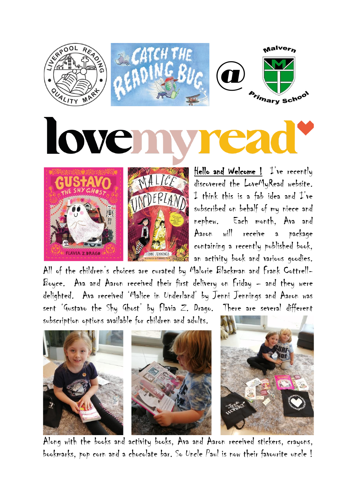

subscribed on behalf of my niece and nephew. Each month, Ava and Aaron will receive a package containing a recently published book, an activity book and various goodies.

All of the children's choices are curated by Malorie Blackman and Frank Cottrell-Boyce. Ava and Aaron received their first delivery on Friday – and they were delighted. Ava received 'Malice in Underland' by Jenni Jennings and Aaron was sent 'Gustavo the Shy Ghost' by Flavia Z. Drago. There are several different subscription options available for children and adults.

ENNI JENNINGS

**FLAVIA Z.DRAGO** 



Along with the books and activity books, Ava and Aaron received stickers, crayons, bookmarks, pop corn and a chocolate bar. So Uncle Paul is now their favourite uncle !